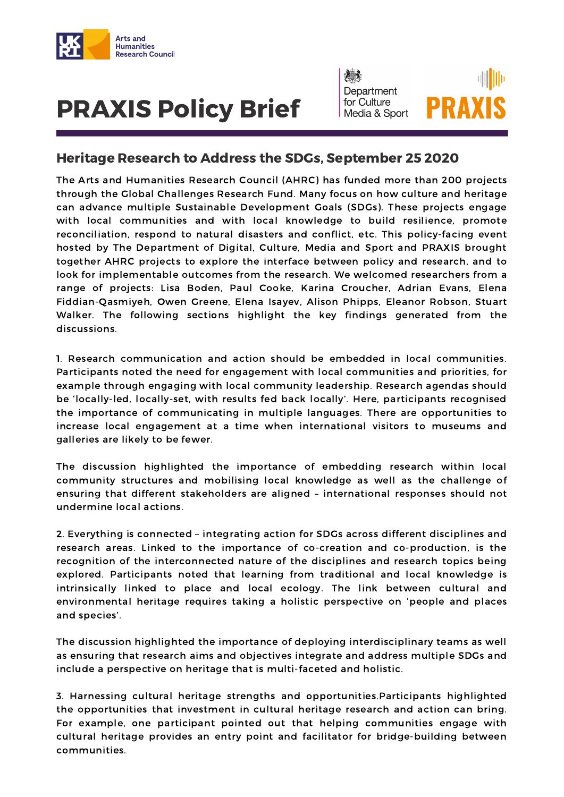

## PRAXIS Policy Brief



## Heritage Research to Address the SDGs, September 25 2020

The Arts and Humanities Research Council (AHRC) has funded more than 200 projects through the Global Challenges Research Fund. Many focus on how culture and heritage can advance multiple Sustainable Development Goals (SDGs). These projects engage with local communities and with local knowledge to build resilience, promote reconciliation, respond to natural disasters and conflict, etc. This policy-facing event hosted by The Department of Digital, Culture, Media and Sport and PRAXIS brought together AHRC projects to explore the interface between policy and research, and to look for implementable outcomes from the research. We welcomed researchers from a range of projects: Lisa Boden, Paul Cooke, Karina Croucher, Adrian Evans, Elena Fiddian-Qasmiyeh, Owen Greene, Elena Isayev, Alison Phipps, Eleanor Robson, Stuart Walker. The following sections highlight the key findings generated from the discussions.

1. Research communication and action should be embedded in local communities. Participants noted the need for engagement with local communities and priorities, for example through engaging with local community leadership. Research agendas should be 'locally-led, locally-set, with results fed back locally'. Here, participants recognised the importance of communicating in multiple languages. There are opportunities to increase local engagement at a time when international visitors to museums and galleries are likely to be fewer.

The discussion highlighted the importance of embedding research within local community structures and mobilising local knowledge as well as the challenge of ensuring that different stakeholders are aligned – international responses should not undermine local actions.

2. Everything is connected – integrating action for SDGs across different disciplines and research areas. Linked to the importance of co-creation and co-production, is the recognition of the interconnected nature of the disciplines and research topics being explored. Participants noted that learning from traditional and local knowledge is intrinsically linked to place and local ecology. The link between cultural and environmental heritage requires taking a holistic perspective on 'people and places and species'.

The discussion highlighted the importance of deploying interdisciplinary teams as well as ensuring that research aims and objectives integrate and address multiple SDGs and include a perspective on heritage that is multi-faceted and holistic.

3. Harnessing cultural heritage strengths and opportunities.Participants highlighted the opportunities that investment in cultural heritage research and action can bring. For example, one participant pointed out that helping communities engage with cultural heritage provides an entry point and facilitator for bridge-building between communities.